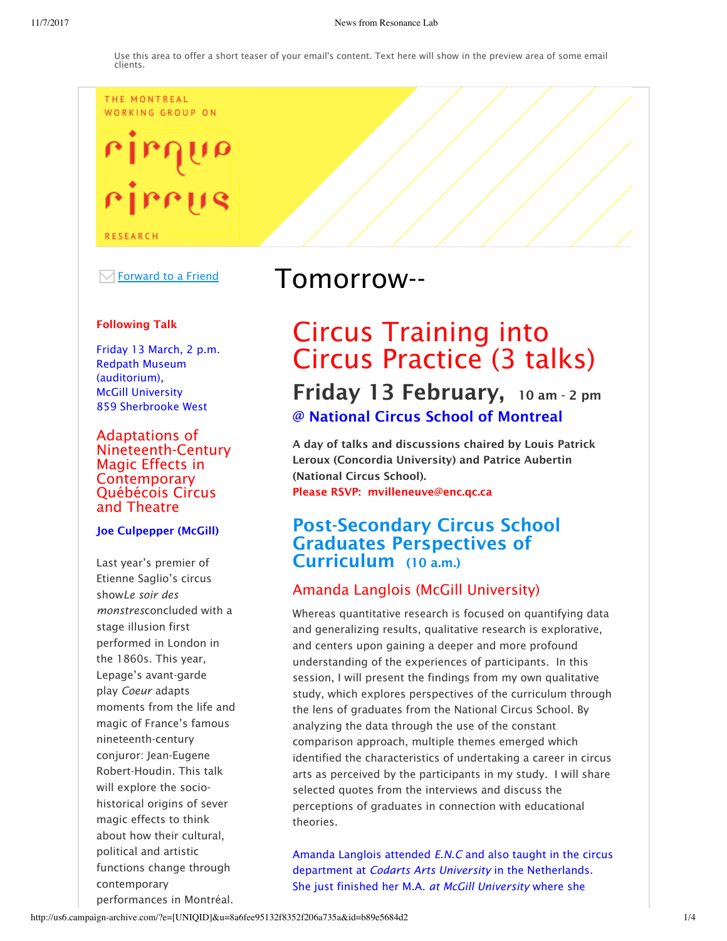#### THE MONTREAL **WORKING GROUP ON**



 $\overline{\smash{\triangleleft}}$  Forward to a Friend

#### Following Talk

Friday 13 March, 2 p.m. Redpath Museum (auditorium), McGill University 859 Sherbrooke West

Adaptations of Nineteenth-Century Magic Effects in **Contemporary** Québécois Circus and Theatre

#### Joe Culpepper (McGill)

Last year's premier of Etienne Saglio's circus show*Le soir des monstres*concluded with a stage illusion first performed in London in the 1860s. This year, Lepage's avant-garde play *Coeur* adapts moments from the life and magic of France's famous nineteenth-century conjuror: Jean-Eugene Robert-Houdin. This talk will explore the sociohistorical origins of sever magic effects to think about how their cultural, political and artistic functions change through contemporary performances in Montréal.

## Tomorrow--

# Circus Training into Circus Practice (3 talks) Friday 13 February, 10 am - 2 pm

@ National Circus School of Montreal

A day of talks and discussions chaired by Louis Patrick Leroux (Concordia University) and Patrice Aubertin (National Circus School). Please RSVP: mvilleneuve@enc.qc.ca

## Post-Secondary Circus School Graduates Perspectives of Curriculum (10 a.m.)

## Amanda Langlois (McGill University)

Whereas quantitative research is focused on quantifying data and generalizing results, qualitative research is explorative, and centers upon gaining a deeper and more profound understanding of the experiences of participants. In this session, I will present the findings from my own qualitative study, which explores perspectives of the curriculum through the lens of graduates from the National Circus School. By analyzing the data through the use of the constant comparison approach, multiple themes emerged which identified the characteristics of undertaking a career in circus arts as perceived by the participants in my study. I will share selected quotes from the interviews and discuss the perceptions of graduates in connection with educational theories.

Amanda Langlois attended *E.N.C* and also taught in the circus department at *Codarts Arts University* in the Netherlands. She just finished her M.A. *at McGill University* where she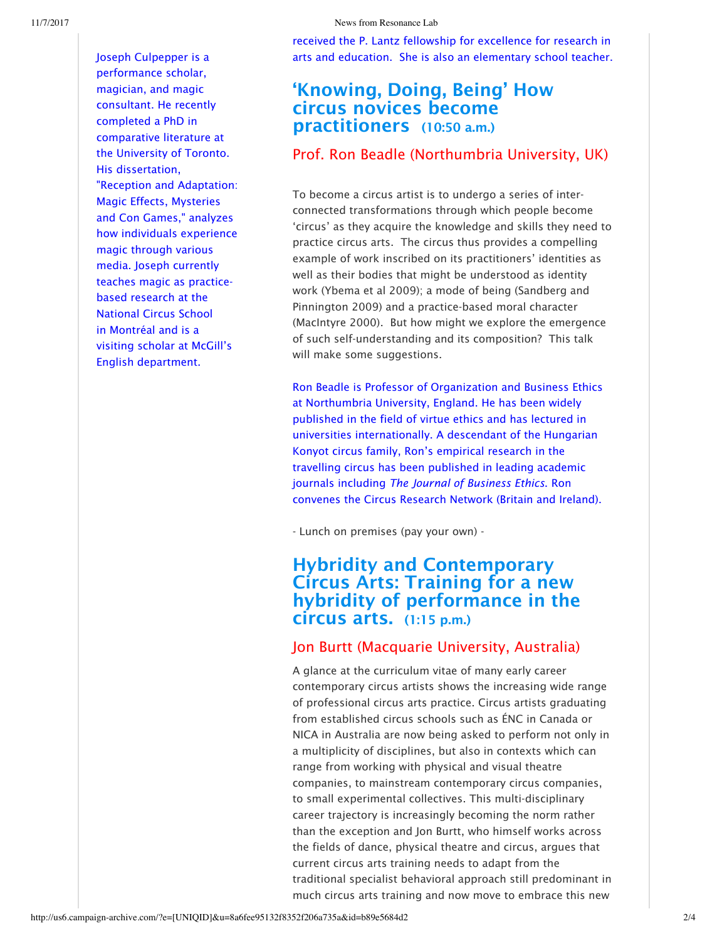received the P. Lantz fellowship for excellence for research in arts and education. She is also an elementary school teacher.

Joseph Culpepper is a performance scholar, magician, and magic consultant. He recently completed a PhD in comparative literature at the University of Toronto. His dissertation, "Reception and Adaptation: Magic Effects, Mysteries and Con Games," analyzes how individuals experience magic through various media. Joseph currently teaches magic as practicebased research at the National Circus School in Montréal and is a visiting scholar at McGill's English department.

## 'Knowing, Doing, Being' How circus novices become practitioners (10:50 a.m.)

## Prof. Ron Beadle (Northumbria University, UK)

To become a circus artist is to undergo a series of interconnected transformations through which people become 'circus' as they acquire the knowledge and skills they need to practice circus arts. The circus thus provides a compelling example of work inscribed on its practitioners' identities as well as their bodies that might be understood as identity work (Ybema et al 2009); a mode of being (Sandberg and Pinnington 2009) and a practice-based moral character (MacIntyre 2000). But how might we explore the emergence of such self-understanding and its composition? This talk will make some suggestions.

Ron Beadle is Professor of Organization and Business Ethics at Northumbria University, England. He has been widely published in the field of virtue ethics and has lectured in universities internationally. A descendant of the Hungarian Konyot circus family, Ron's empirical research in the travelling circus has been published in leading academic journals including *The Journal of Business Ethics*. Ron convenes the Circus Research Network (Britain and Ireland).

- Lunch on premises (pay your own) -

## Hybridity and Contemporary Circus Arts: Training for a new hybridity of performance in the circus arts. (1:15 p.m.)

## Jon Burtt (Macquarie University, Australia)

A glance at the curriculum vitae of many early career contemporary circus artists shows the increasing wide range of professional circus arts practice. Circus artists graduating from established circus schools such as ÉNC in Canada or NICA in Australia are now being asked to perform not only in a multiplicity of disciplines, but also in contexts which can range from working with physical and visual theatre companies, to mainstream contemporary circus companies, to small experimental collectives. This multi-disciplinary career trajectory is increasingly becoming the norm rather than the exception and Jon Burtt, who himself works across the fields of dance, physical theatre and circus, argues that current circus arts training needs to adapt from the traditional specialist behavioral approach still predominant in much circus arts training and now move to embrace this new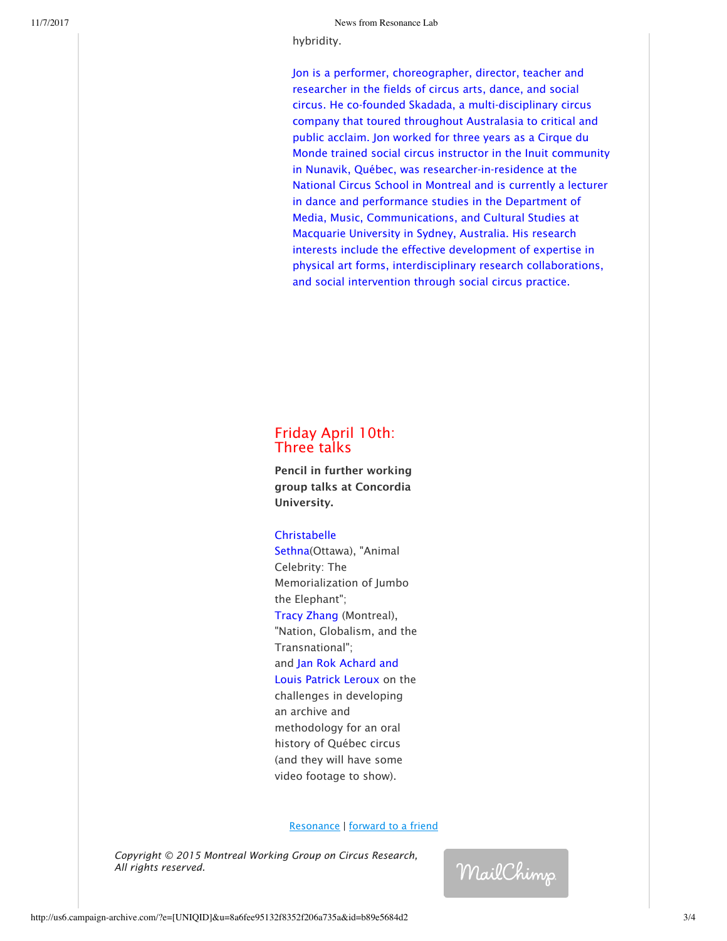hybridity.

Jon is a performer, choreographer, director, teacher and researcher in the fields of circus arts, dance, and social circus. He co-founded Skadada, a multi-disciplinary circus company that toured throughout Australasia to critical and public acclaim. Jon worked for three years as a Cirque du Monde trained social circus instructor in the Inuit community in Nunavik, Québec, was researcher-in-residence at the National Circus School in Montreal and is currently a lecturer in dance and performance studies in the Department of Media, Music, Communications, and Cultural Studies at Macquarie University in Sydney, Australia. His research interests include the effective development of expertise in physical art forms, interdisciplinary research collaborations, and social intervention through social circus practice.

### Friday April 10th: Three talks

Pencil in further working group talks at Concordia University.

#### **Christabelle**

Sethna(Ottawa), "Animal Celebrity: The Memorialization of Jumbo the Elephant"; Tracy Zhang (Montreal), "Nation, Globalism, and the Transnational"; and Jan Rok Achard and Louis Patrick Leroux on the challenges in developing an archive and methodology for an oral history of Québec circus (and they will have some video footage to show).

#### Resonance | forward to a friend

*Copyright © 2015 Montreal Working Group on Circus Research, All rights reserved.*